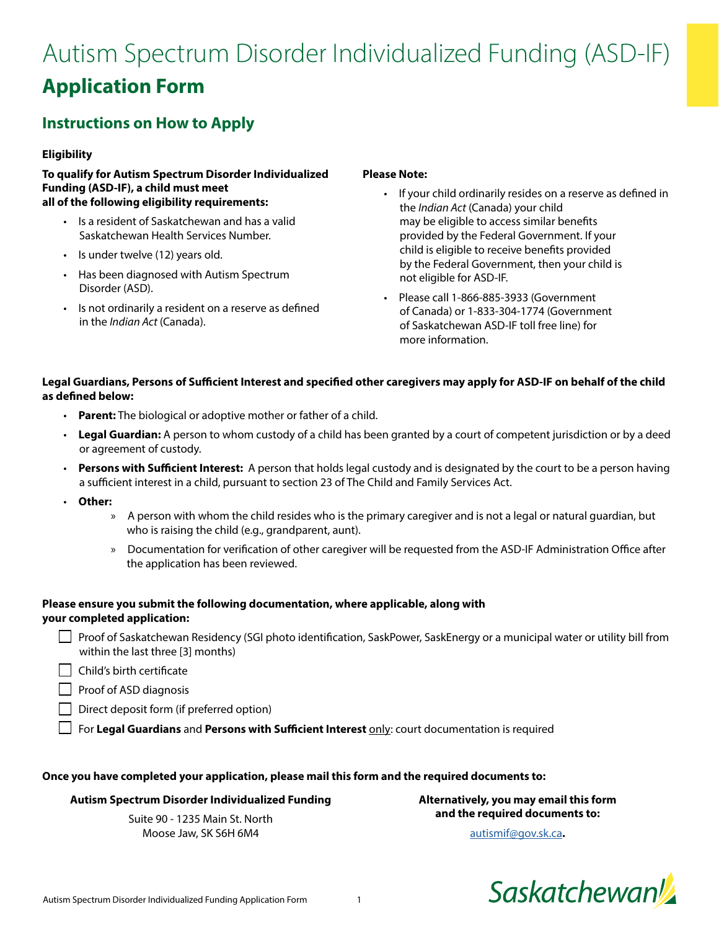# Autism Spectrum Disorder Individualized Funding (ASD-IF) **Application Form**

# **Instructions on How to Apply**

## **Eligibility**

**To qualify for Autism Spectrum Disorder Individualized Funding (ASD-IF), a child must meet all of the following eligibility requirements:**

- Is a resident of Saskatchewan and has a valid Saskatchewan Health Services Number.
- Is under twelve (12) years old.
- Has been diagnosed with Autism Spectrum Disorder (ASD).
- Is not ordinarily a resident on a reserve as defined in the *Indian Act* (Canada).

### **Please Note:**

- If your child ordinarily resides on a reserve as defined in the *Indian Act* (Canada) your child may be eligible to access similar benefits provided by the Federal Government. If your child is eligible to receive benefits provided by the Federal Government, then your child is not eligible for ASD-IF.
- Please call 1-866-885-3933 (Government of Canada) or 1-833-304-1774 (Government of Saskatchewan ASD-IF toll free line) for more information.

# **Legal Guardians, Persons of Sufficient Interest and specified other caregivers may apply for ASD-IF on behalf of the child as defined below:**

- **Parent:** The biological or adoptive mother or father of a child.
- **Legal Guardian:** A person to whom custody of a child has been granted by a court of competent jurisdiction or by a deed or agreement of custody.
- **Persons with Sufficient Interest:** A person that holds legal custody and is designated by the court to be a person having a sufficient interest in a child, pursuant to section 23 of The Child and Family Services Act.
- **Other:**
	- » A person with whom the child resides who is the primary caregiver and is not a legal or natural guardian, but who is raising the child (e.g., grandparent, aunt).
	- » Documentation for verification of other caregiver will be requested from the ASD-IF Administration Office after the application has been reviewed.

# **Please ensure you submit the following documentation, where applicable, along with your completed application:**

- **From** Saskatchewan Residency (SGI photo identification, SaskPower, SaskEnergy or a municipal water or utility bill from within the last three [3] months)
- $\Box$  Child's birth certificate

**Proof of ASD diagnosis** 

- $\Box$  Direct deposit form (if preferred option)
- For **Legal Guardians** and **Persons with Sufficient Interest** only: court documentation is required

#### **Once you have completed your application, please mail this form and the required documents to:**

#### **Autism Spectrum Disorder Individualized Funding**

Suite 90 - 1235 Main St. North Moose Jaw, SK S6H 6M4

**Alternatively, you may email this form and the required documents to:** 

[autismif@gov.sk.ca](mailto:autismif%40gov.sk.ca?subject=)**.** 

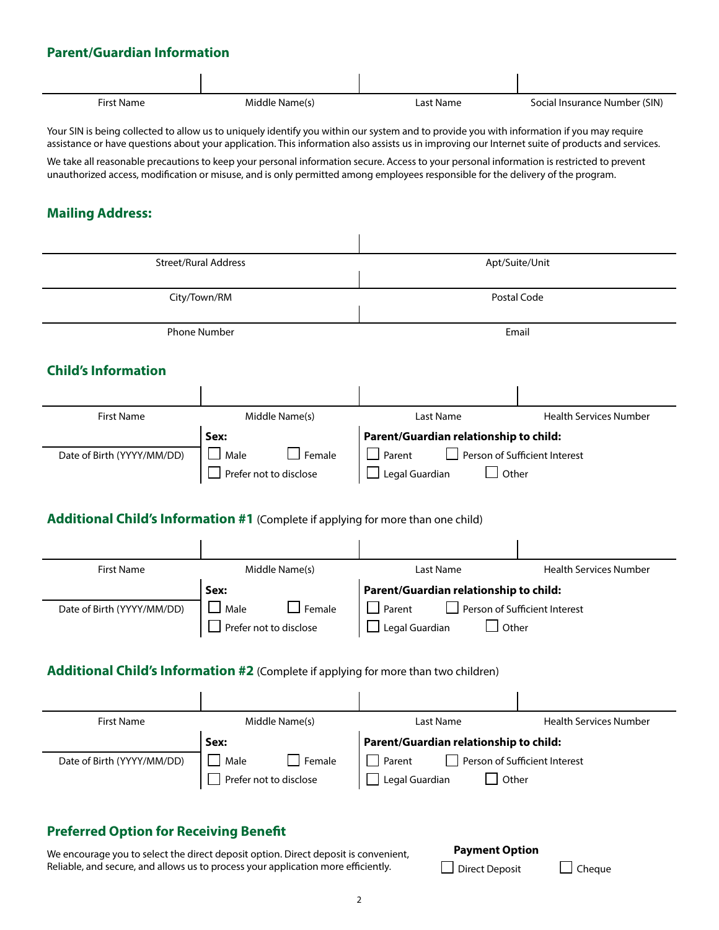# **Parent/Guardian Information**

| <b>First Name</b>                                                                                                                                                                                                                                                                                                                                                                                                                                                                                                                                                            | Middle Name(s)                                                                                                                                 | Last Name                                                                                                    | Social Insurance Number (SIN) |  |
|------------------------------------------------------------------------------------------------------------------------------------------------------------------------------------------------------------------------------------------------------------------------------------------------------------------------------------------------------------------------------------------------------------------------------------------------------------------------------------------------------------------------------------------------------------------------------|------------------------------------------------------------------------------------------------------------------------------------------------|--------------------------------------------------------------------------------------------------------------|-------------------------------|--|
| Your SIN is being collected to allow us to uniquely identify you within our system and to provide you with information if you may require<br>assistance or have questions about your application. This information also assists us in improving our Internet suite of products and services.<br>We take all reasonable precautions to keep your personal information secure. Access to your personal information is restricted to prevent<br>unauthorized access, modification or misuse, and is only permitted among employees responsible for the delivery of the program. |                                                                                                                                                |                                                                                                              |                               |  |
| <b>Mailing Address:</b>                                                                                                                                                                                                                                                                                                                                                                                                                                                                                                                                                      |                                                                                                                                                |                                                                                                              |                               |  |
| <b>Street/Rural Address</b>                                                                                                                                                                                                                                                                                                                                                                                                                                                                                                                                                  |                                                                                                                                                | Apt/Suite/Unit                                                                                               |                               |  |
| City/Town/RM                                                                                                                                                                                                                                                                                                                                                                                                                                                                                                                                                                 |                                                                                                                                                | Postal Code                                                                                                  |                               |  |
| <b>Phone Number</b>                                                                                                                                                                                                                                                                                                                                                                                                                                                                                                                                                          |                                                                                                                                                | Email                                                                                                        |                               |  |
| <b>Child's Information</b>                                                                                                                                                                                                                                                                                                                                                                                                                                                                                                                                                   |                                                                                                                                                |                                                                                                              |                               |  |
| <b>First Name</b>                                                                                                                                                                                                                                                                                                                                                                                                                                                                                                                                                            | Middle Name(s)                                                                                                                                 | <b>Last Name</b>                                                                                             | <b>Health Services Number</b> |  |
| Date of Birth (YYYY/MM/DD)                                                                                                                                                                                                                                                                                                                                                                                                                                                                                                                                                   | Sex:<br>Female<br>$\Box$ Male<br>Prefer not to disclose                                                                                        | Parent/Guardian relationship to child:<br>Person of Sufficient Interest<br>Parent<br>Other<br>Legal Guardian |                               |  |
| <b>Additional Child's Information #1</b> (Complete if applying for more than one child)                                                                                                                                                                                                                                                                                                                                                                                                                                                                                      |                                                                                                                                                |                                                                                                              |                               |  |
| <b>First Name</b>                                                                                                                                                                                                                                                                                                                                                                                                                                                                                                                                                            | Middle Name(s)                                                                                                                                 | Last Name                                                                                                    | <b>Health Services Number</b> |  |
| Date of Birth (YYYY/MM/DD)                                                                                                                                                                                                                                                                                                                                                                                                                                                                                                                                                   | Sex:<br>Male<br>Female<br>Prefer not to disclose<br><b>Additional Child's Information #2</b> (Complete if applying for more than two children) | Parent/Guardian relationship to child:<br>Person of Sufficient Interest<br>Parent<br>Other<br>Legal Guardian |                               |  |
|                                                                                                                                                                                                                                                                                                                                                                                                                                                                                                                                                                              |                                                                                                                                                |                                                                                                              |                               |  |
| <b>First Name</b>                                                                                                                                                                                                                                                                                                                                                                                                                                                                                                                                                            | Middle Name(s)                                                                                                                                 | Last Name                                                                                                    | <b>Health Services Number</b> |  |
| Date of Birth (YYYY/MM/DD)                                                                                                                                                                                                                                                                                                                                                                                                                                                                                                                                                   | Sex:<br>Female<br>Male<br>Prefer not to disclose                                                                                               | Parent/Guardian relationship to child:<br>Person of Sufficient Interest<br>Parent<br>Other<br>Legal Guardian |                               |  |
| <b>Preferred Option for Receiving Benefit</b><br><b>Payment Option</b><br>We encourage you to select the direct deposit option. Direct deposit is convenient,<br>Reliable, and secure, and allows us to process your application more efficiently.<br><b>Direct Deposit</b><br>Cheque                                                                                                                                                                                                                                                                                        |                                                                                                                                                |                                                                                                              |                               |  |